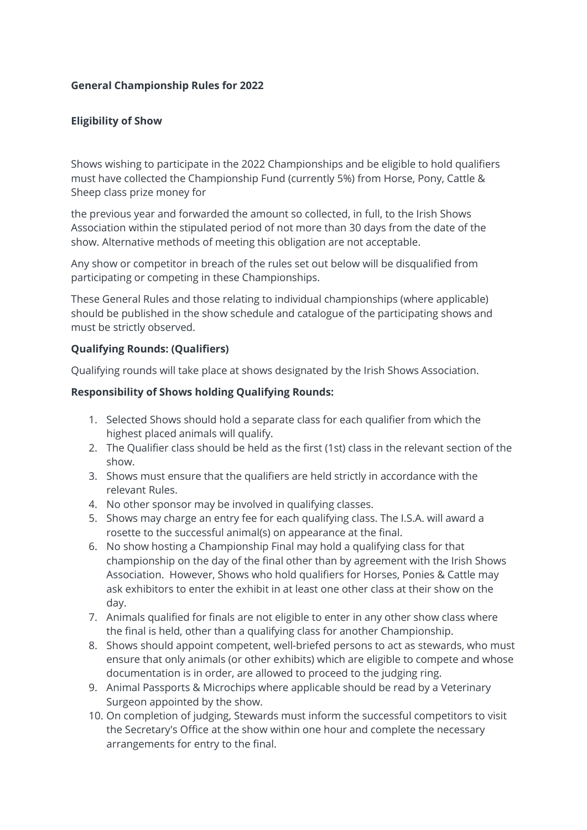### **General Championship Rules for 2022**

# **Eligibility of Show**

Shows wishing to participate in the 2022 Championships and be eligible to hold qualifiers must have collected the Championship Fund (currently 5%) from Horse, Pony, Cattle & Sheep class prize money for

the previous year and forwarded the amount so collected, in full, to the Irish Shows Association within the stipulated period of not more than 30 days from the date of the show. Alternative methods of meeting this obligation are not acceptable.

Any show or competitor in breach of the rules set out below will be disqualified from participating or competing in these Championships.

These General Rules and those relating to individual championships (where applicable) should be published in the show schedule and catalogue of the participating shows and must be strictly observed.

### **Qualifying Rounds: (Qualifiers)**

Qualifying rounds will take place at shows designated by the Irish Shows Association.

### **Responsibility of Shows holding Qualifying Rounds:**

- 1. Selected Shows should hold a separate class for each qualifier from which the highest placed animals will qualify.
- 2. The Qualifier class should be held as the first (1st) class in the relevant section of the show.
- 3. Shows must ensure that the qualifiers are held strictly in accordance with the relevant Rules.
- 4. No other sponsor may be involved in qualifying classes.
- 5. Shows may charge an entry fee for each qualifying class. The I.S.A. will award a rosette to the successful animal(s) on appearance at the final.
- 6. No show hosting a Championship Final may hold a qualifying class for that championship on the day of the final other than by agreement with the Irish Shows Association. However, Shows who hold qualifiers for Horses, Ponies & Cattle may ask exhibitors to enter the exhibit in at least one other class at their show on the day.
- 7. Animals qualified for finals are not eligible to enter in any other show class where the final is held, other than a qualifying class for another Championship.
- 8. Shows should appoint competent, well-briefed persons to act as stewards, who must ensure that only animals (or other exhibits) which are eligible to compete and whose documentation is in order, are allowed to proceed to the judging ring.
- 9. Animal Passports & Microchips where applicable should be read by a Veterinary Surgeon appointed by the show.
- 10. On completion of judging, Stewards must inform the successful competitors to visit the Secretary's Office at the show within one hour and complete the necessary arrangements for entry to the final.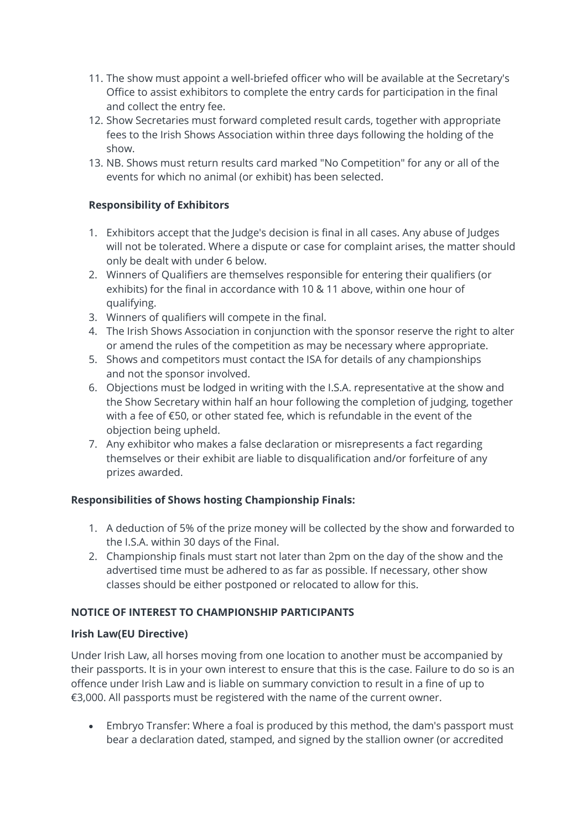- 11. The show must appoint a well-briefed officer who will be available at the Secretary's Office to assist exhibitors to complete the entry cards for participation in the final and collect the entry fee.
- 12. Show Secretaries must forward completed result cards, together with appropriate fees to the Irish Shows Association within three days following the holding of the show.
- 13. NB. Shows must return results card marked "No Competition" for any or all of the events for which no animal (or exhibit) has been selected.

# **Responsibility of Exhibitors**

- 1. Exhibitors accept that the Judge's decision is final in all cases. Any abuse of Judges will not be tolerated. Where a dispute or case for complaint arises, the matter should only be dealt with under 6 below.
- 2. Winners of Qualifiers are themselves responsible for entering their qualifiers (or exhibits) for the final in accordance with 10 & 11 above, within one hour of qualifying.
- 3. Winners of qualifiers will compete in the final.
- 4. The Irish Shows Association in conjunction with the sponsor reserve the right to alter or amend the rules of the competition as may be necessary where appropriate.
- 5. Shows and competitors must contact the ISA for details of any championships and not the sponsor involved.
- 6. Objections must be lodged in writing with the I.S.A. representative at the show and the Show Secretary within half an hour following the completion of judging, together with a fee of €50, or other stated fee, which is refundable in the event of the objection being upheld.
- 7. Any exhibitor who makes a false declaration or misrepresents a fact regarding themselves or their exhibit are liable to disqualification and/or forfeiture of any prizes awarded.

### **Responsibilities of Shows hosting Championship Finals:**

- 1. A deduction of 5% of the prize money will be collected by the show and forwarded to the I.S.A. within 30 days of the Final.
- 2. Championship finals must start not later than 2pm on the day of the show and the advertised time must be adhered to as far as possible. If necessary, other show classes should be either postponed or relocated to allow for this.

### **NOTICE OF INTEREST TO CHAMPIONSHIP PARTICIPANTS**

### **Irish Law(EU Directive)**

Under Irish Law, all horses moving from one location to another must be accompanied by their passports. It is in your own interest to ensure that this is the case. Failure to do so is an offence under Irish Law and is liable on summary conviction to result in a fine of up to €3,000. All passports must be registered with the name of the current owner.

• Embryo Transfer: Where a foal is produced by this method, the dam's passport must bear a declaration dated, stamped, and signed by the stallion owner (or accredited